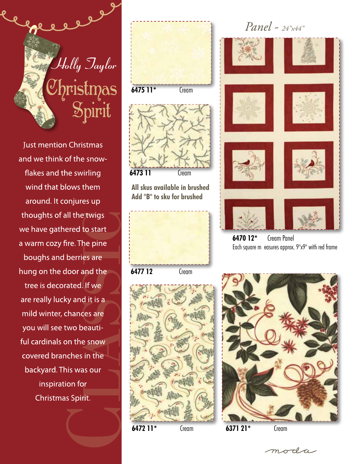

**Just mention Christmas** and we think of the snowflakes and the swirling wind that blows them around. It conjures up thoughts of all the twigs we have gathered to start a warm cozy fire. The pine boughs and berries are hung on the door and the tree is decorated. If we are really lucky and it is a mild winter, chances are you will see two beautiful cardinals on the snow covered branches in the backyard. This was our inspiration for Christmas Spirit.









**6470 12\*** Cream Panel Each square m easures approx. 9"x9" with red frame





moda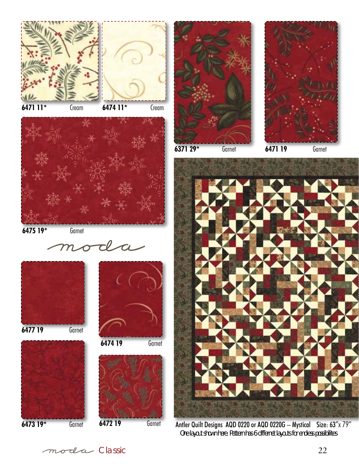

**6471 11\*** Cream **6474 11\*** Cream



**6475 19\*** Garnet

moda







**6472 19** Garnet



**6371 29\*** Garnet

**6471 19** Garnet





Antler Quilt Designs AQD 0220 or AQD 0220G – Mystical Size: 63"x 79"  *One layout shown here. Pattern has 6 differnet layouts for endless possibilites* 

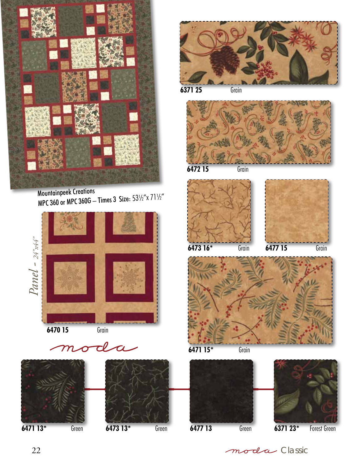

Mountainpeek Creations MPC 360 or MPC 360G – Times 3 Size: 53½"x 71½"









**6371 25** Grain



**6472 15** Grain





**6471 15\*** Grain